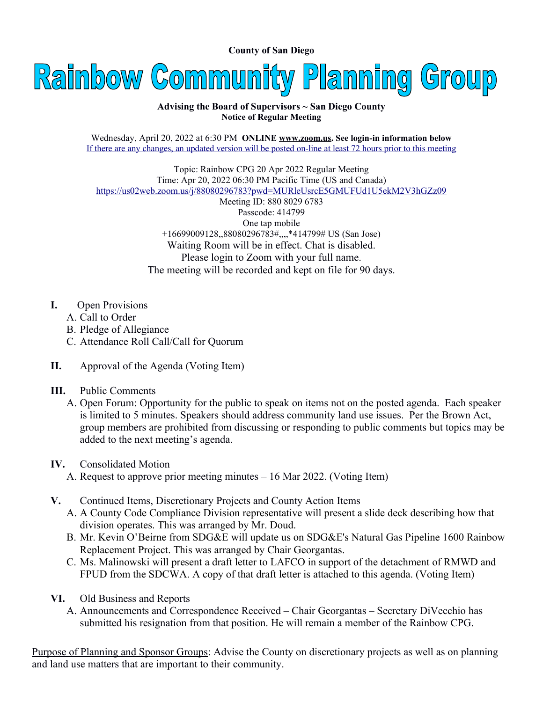**County of San Diego** 



## **Advising the Board of Supervisors ~ San Diego County Notice of Regular Meeting**

Wednesday, April 20, 2022 at 6:30 PM **ONLINE [www.zoom.us.](http://www.zoom.us/) See login-in information below** If there are any changes, an updated version will be posted on-line at least 72 hours prior to this meeting

Topic: Rainbow CPG 20 Apr 2022 Regular Meeting Time: Apr 20, 2022 06:30 PM Pacific Time (US and Canada) <https://us02web.zoom.us/j/88080296783?pwd=MURleUsrcE5GMUFUd1U5ekM2V3hGZz09>

Meeting ID: 880 8029 6783 Passcode: 414799 One tap mobile +16699009128,,88080296783#,,,,\*414799# US (San Jose) Waiting Room will be in effect. Chat is disabled. Please login to Zoom with your full name. The meeting will be recorded and kept on file for 90 days.

- **I.** Open Provisions
	- A. Call to Order
	- B. Pledge of Allegiance
	- C. Attendance Roll Call/Call for Quorum
- **II.** Approval of the Agenda (Voting Item)

## **III.** Public Comments

 A. Open Forum: Opportunity for the public to speak on items not on the posted agenda. Each speaker is limited to 5 minutes. Speakers should address community land use issues. Per the Brown Act, group members are prohibited from discussing or responding to public comments but topics may be added to the next meeting's agenda.

## **IV.** Consolidated Motion

- A. Request to approve prior meeting minutes 16 Mar 2022. (Voting Item)
- **V.** Continued Items, Discretionary Projects and County Action Items
	- A. A County Code Compliance Division representative will present a slide deck describing how that division operates. This was arranged by Mr. Doud.
	- B. Mr. Kevin O'Beirne from SDG&E will update us on SDG&E's Natural Gas Pipeline 1600 Rainbow Replacement Project. This was arranged by Chair Georgantas.
	- C. Ms. Malinowski will present a draft letter to LAFCO in support of the detachment of RMWD and FPUD from the SDCWA. A copy of that draft letter is attached to this agenda. (Voting Item)
- **VI.** Old Business and Reports
	- A. Announcements and Correspondence Received Chair Georgantas Secretary DiVecchio has submitted his resignation from that position. He will remain a member of the Rainbow CPG.

Purpose of Planning and Sponsor Groups: Advise the County on discretionary projects as well as on planning and land use matters that are important to their community.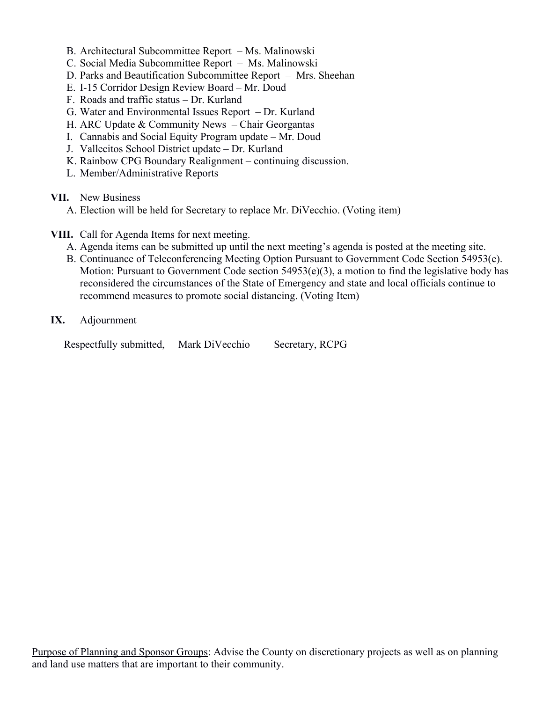- B. Architectural Subcommittee Report Ms. Malinowski
- C. Social Media Subcommittee Report Ms. Malinowski
- D. Parks and Beautification Subcommittee Report Mrs. Sheehan
- E. I-15 Corridor Design Review Board Mr. Doud
- F. Roads and traffic status Dr. Kurland
- G. Water and Environmental Issues Report Dr. Kurland
- H. ARC Update & Community News Chair Georgantas
- I. Cannabis and Social Equity Program update Mr. Doud
- J. Vallecitos School District update Dr. Kurland
- K. Rainbow CPG Boundary Realignment continuing discussion.
- L. Member/Administrative Reports

## **VII.** New Business

- A. Election will be held for Secretary to replace Mr. DiVecchio. (Voting item)
- **VIII.** Call for Agenda Items for next meeting.
	- A. Agenda items can be submitted up until the next meeting's agenda is posted at the meeting site.
	- B. Continuance of Teleconferencing Meeting Option Pursuant to Government Code Section 54953(e). Motion: Pursuant to Government Code section 54953(e)(3), a motion to find the legislative body has reconsidered the circumstances of the State of Emergency and state and local officials continue to recommend measures to promote social distancing. (Voting Item)
- **IX.** Adjournment

Respectfully submitted, Mark DiVecchio Secretary, RCPG

Purpose of Planning and Sponsor Groups: Advise the County on discretionary projects as well as on planning and land use matters that are important to their community.